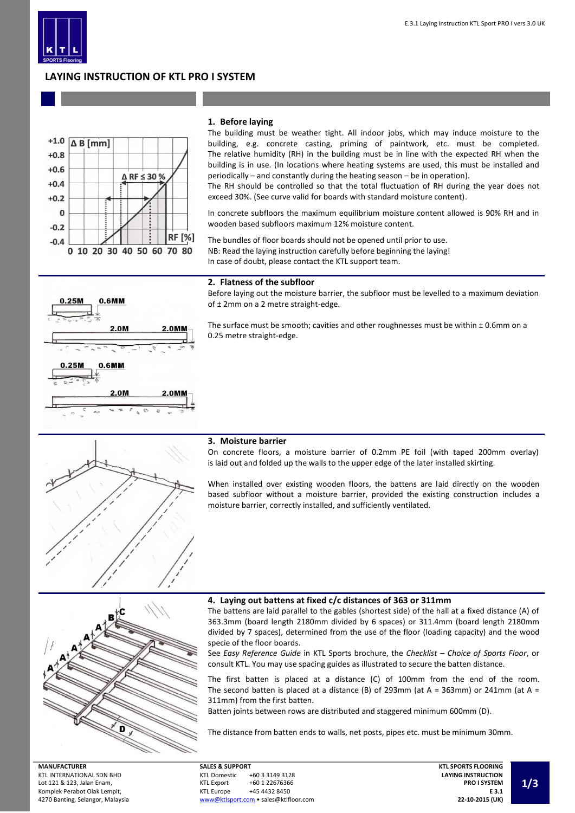

#### E.3.1 Laying Instruction KTL Sport PRO I vers 3.0 UK

# **LAYING INSTRUCTION OF KTL PRO I SYSTEM**



## **1. Before laying**

The building must be weather tight. All indoor jobs, which may induce moisture to the building, e.g. concrete casting, priming of paintwork, etc. must be completed. The relative humidity (RH) in the building must be in line with the expected RH when the building is in use. (In locations where heating systems are used, this must be installed and periodically – and constantly during the heating season – be in operation).

The RH should be controlled so that the total fluctuation of RH during the year does not exceed 30%. (See curve valid for boards with standard moisture content).

In concrete subfloors the maximum equilibrium moisture content allowed is 90% RH and in wooden based subfloors maximum 12% moisture content.

The bundles of floor boards should not be opened until prior to use. NB: Read the laying instruction carefully before beginning the laying! In case of doubt, please contact the KTL support team.



#### **2. Flatness of the subfloor**

Before laying out the moisture barrier, the subfloor must be levelled to a maximum deviation of ± 2mm on a 2 metre straight-edge.

The surface must be smooth; cavities and other roughnesses must be within  $\pm$  0.6mm on a 0.25 metre straight-edge.



#### **3. Moisture barrier**

On concrete floors, a moisture barrier of 0.2mm PE foil (with taped 200mm overlay) is laid out and folded up the walls to the upper edge of the later installed skirting.

When installed over existing wooden floors, the battens are laid directly on the wooden based subfloor without a moisture barrier, provided the existing construction includes a moisture barrier, correctly installed, and sufficiently ventilated.



#### **MANUFACTURER** KTL INTERNATIONAL SDN BHD Lot 121 & 123, Jalan Enam, Komplek Perabot Olak Lempit, 4270 Banting, Selangor, Malaysia

### **4. Laying out battens at fixed c/c distances of 363 or 311mm**

The battens are laid parallel to the gables (shortest side) of the hall at a fixed distance (A) of 363.3mm (board length 2180mm divided by 6 spaces) or 311.4mm (board length 2180mm divided by 7 spaces), determined from the use of the floor (loading capacity) and the wood specie of the floor boards.

See *Easy Reference Guide* in KTL Sports brochure, the *Checklist – Choice of Sports Floor*, or consult KTL. You may use spacing guides as illustrated to secure the batten distance.

The first batten is placed at a distance (C) of 100mm from the end of the room. The second batten is placed at a distance (B) of 293mm (at A = 363mm) or 241mm (at A = 311mm) from the first batten.

Batten joints between rows are distributed and staggered minimum 600mm (D).

The distance from batten ends to walls, net posts, pipes etc. must be minimum 30mm.

| <b>SALES &amp; SUPPORT</b> |                                       |  |  |  |  |
|----------------------------|---------------------------------------|--|--|--|--|
| <b>KTL Domestic</b>        | +60 3 3149 3128                       |  |  |  |  |
| <b>KTL Export</b>          | +60 1 22676366                        |  |  |  |  |
| <b>KTL Europe</b>          | +45 4432 8450                         |  |  |  |  |
|                            | www@ktlsport.com • sales@ktlfloor.com |  |  |  |  |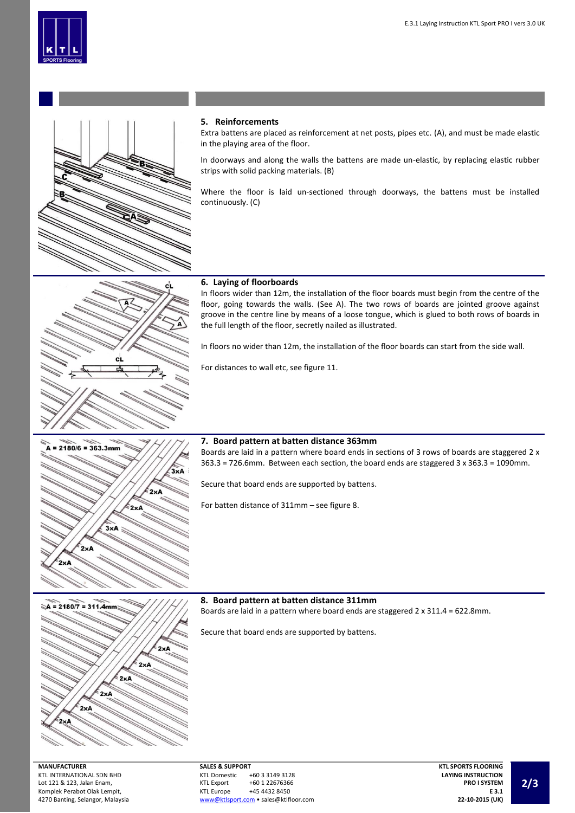



сī

## **5. Reinforcements**

Extra battens are placed as reinforcement at net posts, pipes etc. (A), and must be made elastic in the playing area of the floor.

In doorways and along the walls the battens are made un-elastic, by replacing elastic rubber strips with solid packing materials. (B)

Where the floor is laid un-sectioned through doorways, the battens must be installed continuously. (C)

## **6. Laying of floorboards**

In floors wider than 12m, the installation of the floor boards must begin from the centre of the floor, going towards the walls. (See A). The two rows of boards are jointed groove against groove in the centre line by means of a loose tongue, which is glued to both rows of boards in the full length of the floor, secretly nailed as illustrated.

In floors no wider than 12m, the installation of the floor boards can start from the side wall.

For distances to wall etc, see figure 11.



### **7. Board pattern at batten distance 363mm**

Boards are laid in a pattern where board ends in sections of 3 rows of boards are staggered 2 x 363.3 = 726.6mm. Between each section, the board ends are staggered 3 x 363.3 = 1090mm.

Secure that board ends are supported by battens.

For batten distance of 311mm – see figure 8.



## **8. Board pattern at batten distance 311mm**

Boards are laid in a pattern where board ends are staggered 2 x 311.4 = 622.8mm.

Secure that board ends are supported by battens.